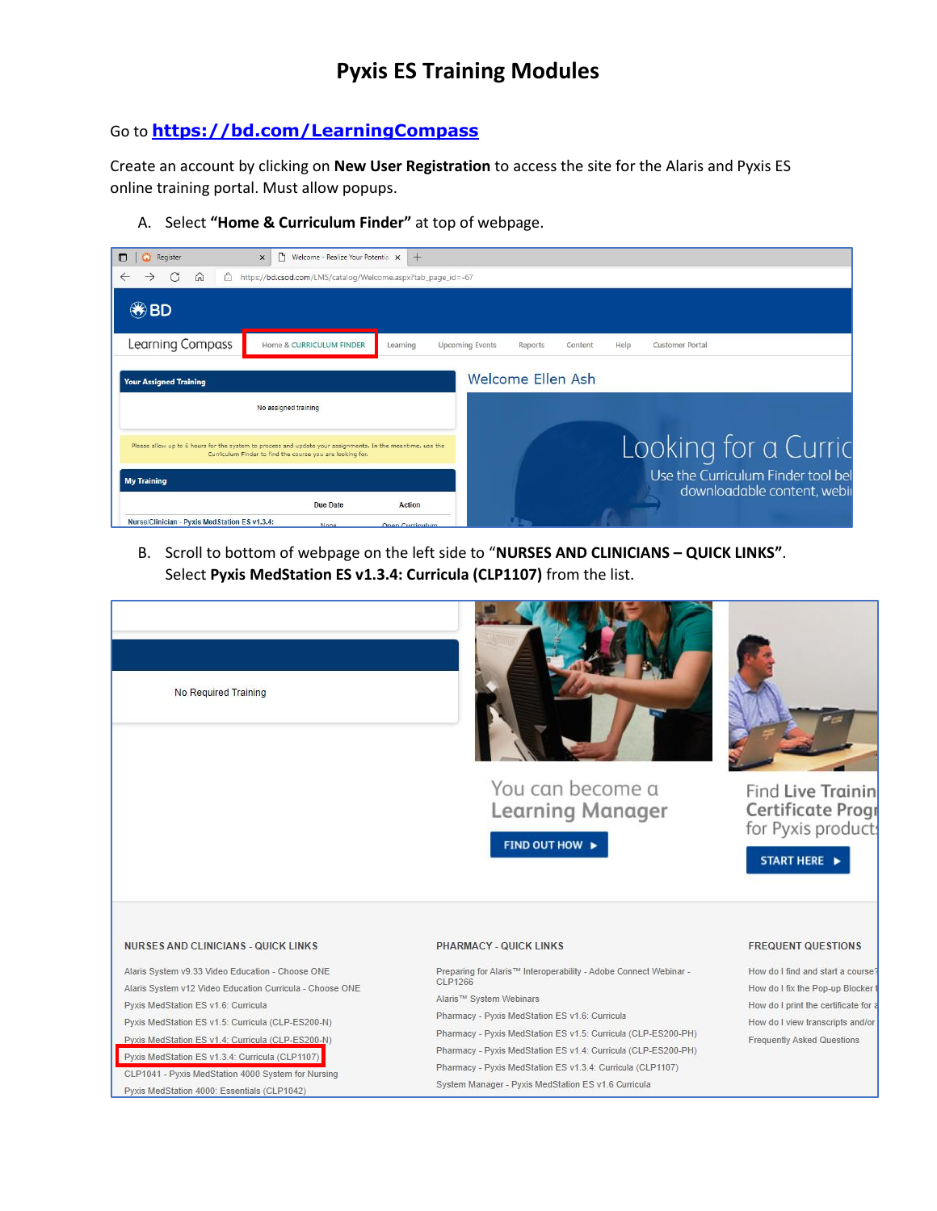## **Pyxis ES Training Modules**

### Go to **<https://bd.com/LearningCompass>**

Create an account by clicking on **New User Registration** to access the site for the Alaris and Pyxis ES online training portal. Must allow popups.

A. Select **"Home & Curriculum Finder"** at top of webpage.

| Register                                                                                                                                                                | P<br>Welcome - Realize Your Potentia X<br>$\times$           | $+$                                |                   |                 |                                                                   |
|-------------------------------------------------------------------------------------------------------------------------------------------------------------------------|--------------------------------------------------------------|------------------------------------|-------------------|-----------------|-------------------------------------------------------------------|
| G<br>⋒<br>A                                                                                                                                                             | https://bd.csod.com/LMS/catalog/Welcome.aspx?tab_page_id=-67 |                                    |                   |                 |                                                                   |
| $\circledast$ BD                                                                                                                                                        |                                                              |                                    |                   |                 |                                                                   |
| <b>Learning Compass</b>                                                                                                                                                 | Home & CURRICULUM FINDER                                     | <b>Upcoming Events</b><br>Learning | Reports           | Help<br>Content | <b>Customer Portal</b>                                            |
| <b>Your Assigned Training</b>                                                                                                                                           |                                                              |                                    | Welcome Ellen Ash |                 |                                                                   |
| No assigned training                                                                                                                                                    |                                                              |                                    |                   |                 |                                                                   |
| Please allow up to 6 hours for the system to process and update your assignments. In the meantime, use the<br>Curriculum Finder to find the course you are looking for. |                                                              |                                    |                   |                 | Looking for a Curric                                              |
| <b>My Training</b>                                                                                                                                                      |                                                              |                                    |                   |                 | Use the Curriculum Finder tool bel<br>downloadable content, webii |
|                                                                                                                                                                         | Due Date                                                     | <b>Action</b>                      |                   |                 |                                                                   |
| Nurse/Clinician - Pyxis Med Station ES v1.3.4:                                                                                                                          | <b>None</b>                                                  | Open Curriculum                    |                   |                 |                                                                   |

B. Scroll to bottom of webpage on the left side to "**NURSES AND CLINICIANS – QUICK LINKS"**. Select **Pyxis MedStation ES v1.3.4: Curricula (CLP1107)** from the list.

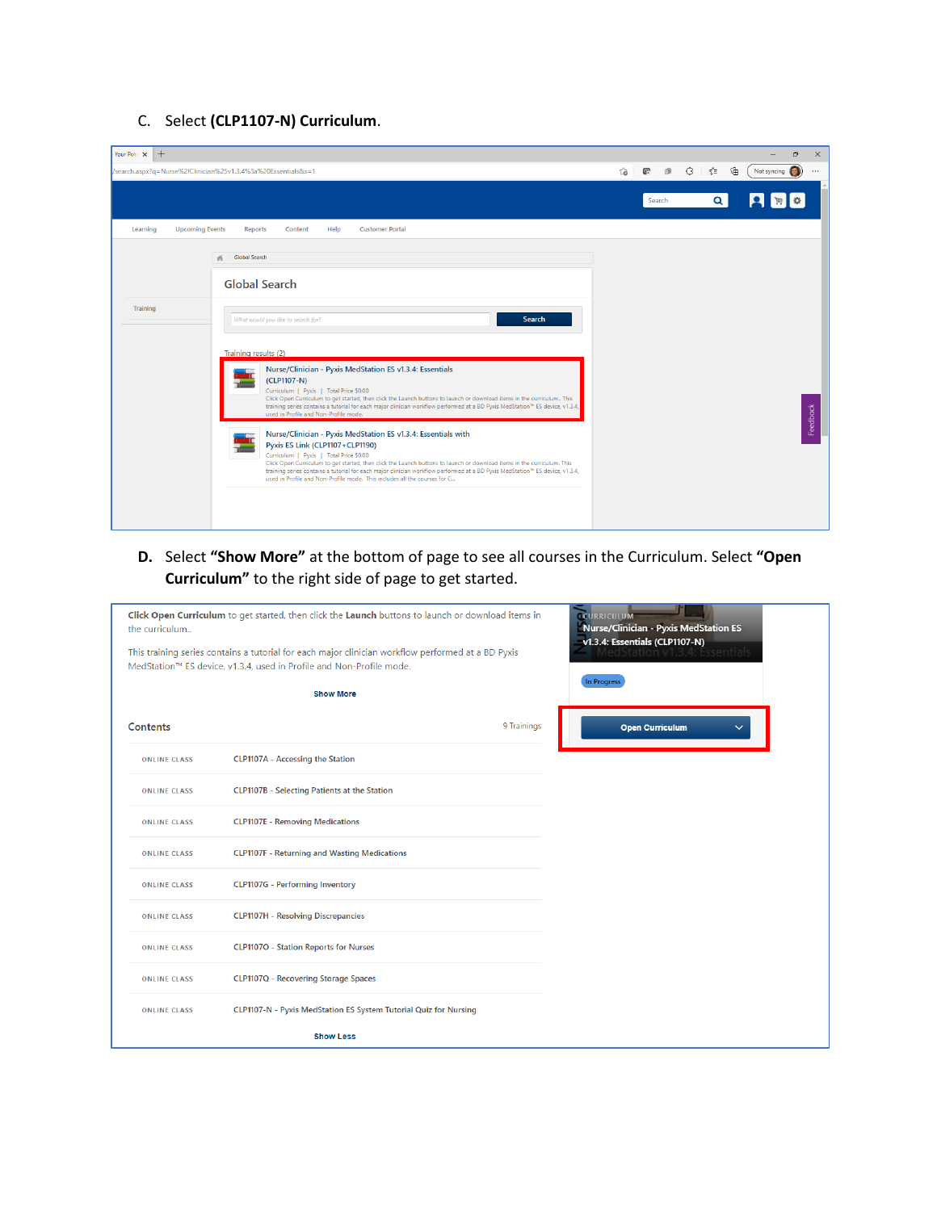### C. Select **(CLP1107-N) Curriculum**.

| $+$<br>Your Pote X |                                                                                                                                                                                                                                                                                                                                                                                                                                                                                                              |    |        |              |                  | Ō              | $\times$ |
|--------------------|--------------------------------------------------------------------------------------------------------------------------------------------------------------------------------------------------------------------------------------------------------------------------------------------------------------------------------------------------------------------------------------------------------------------------------------------------------------------------------------------------------------|----|--------|--------------|------------------|----------------|----------|
|                    | /search.aspx?q=Nurse%2fClinician%25v1.3.4%3a%20Essentials&s=1                                                                                                                                                                                                                                                                                                                                                                                                                                                | సం | 像<br>Œ | €<br>ััััััั | Not syncing<br>⊕ |                | $\cdots$ |
|                    |                                                                                                                                                                                                                                                                                                                                                                                                                                                                                                              |    | Search | $\alpha$     | Я                | $\mathbb{R}$ a |          |
| Learning           | <b>Upcoming Events</b><br><b>Customer Portal</b><br>Help<br>Reports<br>Content                                                                                                                                                                                                                                                                                                                                                                                                                               |    |        |              |                  |                |          |
|                    | <b>Global Search</b><br>系<br><b>Global Search</b>                                                                                                                                                                                                                                                                                                                                                                                                                                                            |    |        |              |                  |                |          |
| Training           | Search<br>What would you like to search for?                                                                                                                                                                                                                                                                                                                                                                                                                                                                 |    |        |              |                  |                |          |
|                    | Training results (2)                                                                                                                                                                                                                                                                                                                                                                                                                                                                                         |    |        |              |                  |                |          |
|                    | Nurse/Clinician - Pyxis MedStation ES v1.3.4: Essentials<br>(CLP1107-N)<br>Curriculum   Pyxis   Total Price \$0.00<br>Click Open Curriculum to get started, then click the Launch buttons to launch or download items in the curriculum This<br>training series contains a tutorial for each major clinician workflow performed at a BD Pyxis MedStation <sup>n</sup> ES device, v1.3.4,<br>used in Profile and Non-Profile mode.                                                                            |    |        |              |                  |                | Feedback |
|                    | Nurse/Clinician - Pyxis MedStation ES v1.3.4: Essentials with<br>Pyxis ES Link (CLP1107+CLP1190)<br>Curriculum   Pyxis   Total Price \$0.00<br>Click Open Curriculum to get started, then click the Launch buttons to launch or download items in the curriculum. This<br>training series contains a tutorial for each major clinician workflow performed at a BD Pyxis MedStation <sup>n</sup> <sup>4</sup> ES device, v1.3.4,<br>used in Profile and Non-Profile mode. This includes all the courses for C |    |        |              |                  |                |          |
|                    |                                                                                                                                                                                                                                                                                                                                                                                                                                                                                                              |    |        |              |                  |                |          |

**D.** Select **"Show More"** at the bottom of page to see all courses in the Curriculum. Select **"Open Curriculum"** to the right side of page to get started.

| the curriculum      | Click Open Curriculum to get started, then click the Launch buttons to launch or download items in                                                                         | CURRICULUM<br>Nurse/Clinician - Pyxis MedStation ES |
|---------------------|----------------------------------------------------------------------------------------------------------------------------------------------------------------------------|-----------------------------------------------------|
|                     | This training series contains a tutorial for each major clinician workflow performed at a BD Pyxis<br>MedStation™ ES device, v1.3.4, used in Profile and Non-Profile mode. | v1.3.4: Essentials (CLP1107-N)<br>entials           |
|                     | <b>Show More</b>                                                                                                                                                           | In Progress                                         |
| Contents            | 9 Trainings                                                                                                                                                                | <b>Open Curriculum</b><br>$\checkmark$              |
| <b>ONLINE CLASS</b> | <b>CLP1107A</b> - Accessing the Station                                                                                                                                    |                                                     |
| <b>ONLINE CLASS</b> | <b>CLP1107B</b> - Selecting Patients at the Station                                                                                                                        |                                                     |
| <b>ONLINE CLASS</b> | <b>CLP1107E - Removing Medications</b>                                                                                                                                     |                                                     |
| <b>ONLINE CLASS</b> | <b>CLP1107F - Returning and Wasting Medications</b>                                                                                                                        |                                                     |
| <b>ONLINE CLASS</b> | <b>CLP1107G</b> - Performing Inventory                                                                                                                                     |                                                     |
| <b>ONLINE CLASS</b> | <b>CLP1107H - Resolving Discrepancies</b>                                                                                                                                  |                                                     |
| <b>ONLINE CLASS</b> | <b>CLP1107O</b> - Station Reports for Nurses                                                                                                                               |                                                     |
| <b>ONLINE CLASS</b> | <b>CLP1107Q</b> - Recovering Storage Spaces                                                                                                                                |                                                     |
| <b>ONLINE CLASS</b> | CLP1107-N - Pyxis MedStation ES System Tutorial Quiz for Nursing                                                                                                           |                                                     |
|                     | <b>Show Less</b>                                                                                                                                                           |                                                     |